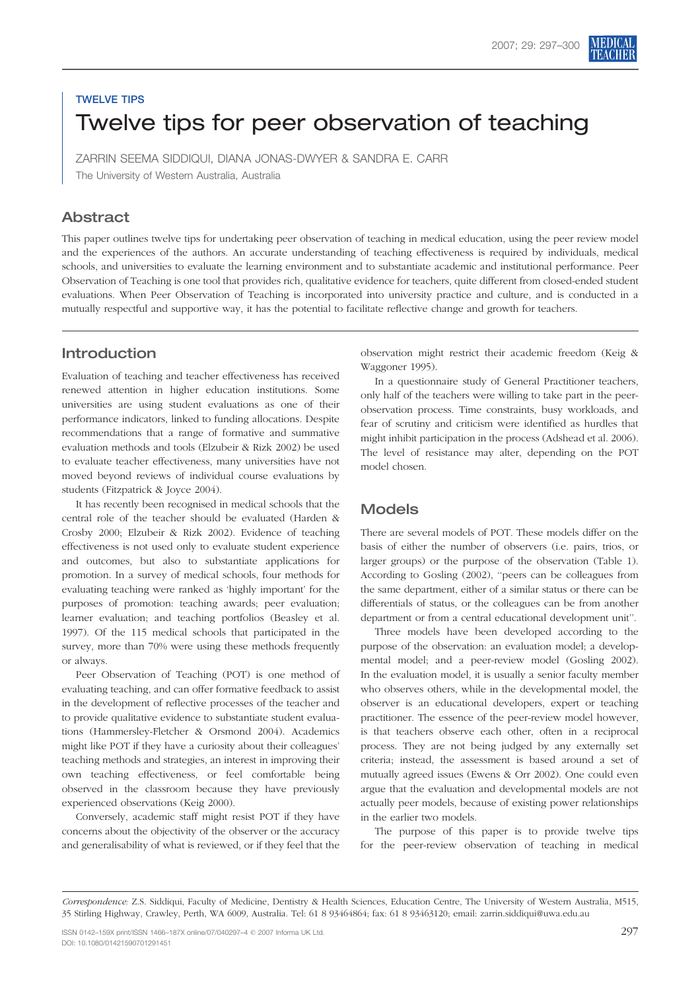# TWELVE TIPS Twelve tips for peer observation of teaching

ZARRIN SEEMA SIDDIQUI, DIANA JONAS-DWYER & SANDRA E. CARR The University of Western Australia, Australia

### Abstract

This paper outlines twelve tips for undertaking peer observation of teaching in medical education, using the peer review model and the experiences of the authors. An accurate understanding of teaching effectiveness is required by individuals, medical schools, and universities to evaluate the learning environment and to substantiate academic and institutional performance. Peer Observation of Teaching is one tool that provides rich, qualitative evidence for teachers, quite different from closed-ended student evaluations. When Peer Observation of Teaching is incorporated into university practice and culture, and is conducted in a mutually respectful and supportive way, it has the potential to facilitate reflective change and growth for teachers.

### Introduction

Evaluation of teaching and teacher effectiveness has received renewed attention in higher education institutions. Some universities are using student evaluations as one of their performance indicators, linked to funding allocations. Despite recommendations that a range of formative and summative evaluation methods and tools (Elzubeir & Rizk 2002) be used to evaluate teacher effectiveness, many universities have not moved beyond reviews of individual course evaluations by students (Fitzpatrick & Joyce 2004).

It has recently been recognised in medical schools that the central role of the teacher should be evaluated (Harden & Crosby 2000; Elzubeir & Rizk 2002). Evidence of teaching effectiveness is not used only to evaluate student experience and outcomes, but also to substantiate applications for promotion. In a survey of medical schools, four methods for evaluating teaching were ranked as 'highly important' for the purposes of promotion: teaching awards; peer evaluation; learner evaluation; and teaching portfolios (Beasley et al. 1997). Of the 115 medical schools that participated in the survey, more than 70% were using these methods frequently or always.

Peer Observation of Teaching (POT) is one method of evaluating teaching, and can offer formative feedback to assist in the development of reflective processes of the teacher and to provide qualitative evidence to substantiate student evaluations (Hammersley-Fletcher & Orsmond 2004). Academics might like POT if they have a curiosity about their colleagues' teaching methods and strategies, an interest in improving their own teaching effectiveness, or feel comfortable being observed in the classroom because they have previously experienced observations (Keig 2000).

Conversely, academic staff might resist POT if they have concerns about the objectivity of the observer or the accuracy and generalisability of what is reviewed, or if they feel that the observation might restrict their academic freedom (Keig & Waggoner 1995).

In a questionnaire study of General Practitioner teachers, only half of the teachers were willing to take part in the peerobservation process. Time constraints, busy workloads, and fear of scrutiny and criticism were identified as hurdles that might inhibit participation in the process (Adshead et al. 2006). The level of resistance may alter, depending on the POT model chosen.

### Models

There are several models of POT. These models differ on the basis of either the number of observers (i.e. pairs, trios, or larger groups) or the purpose of the observation (Table 1). According to Gosling (2002), ''peers can be colleagues from the same department, either of a similar status or there can be differentials of status, or the colleagues can be from another department or from a central educational development unit''.

Three models have been developed according to the purpose of the observation: an evaluation model; a developmental model; and a peer-review model (Gosling 2002). In the evaluation model, it is usually a senior faculty member who observes others, while in the developmental model, the observer is an educational developers, expert or teaching practitioner. The essence of the peer-review model however, is that teachers observe each other, often in a reciprocal process. They are not being judged by any externally set criteria; instead, the assessment is based around a set of mutually agreed issues (Ewens & Orr 2002). One could even argue that the evaluation and developmental models are not actually peer models, because of existing power relationships in the earlier two models.

The purpose of this paper is to provide twelve tips for the peer-review observation of teaching in medical

Correspondence: Z.S. Siddiqui, Faculty of Medicine, Dentistry & Health Sciences, Education Centre, The University of Western Australia, M515, 35 Stirling Highway, Crawley, Perth, WA 6009, Australia. Tel: 61 8 93464864; fax: 61 8 93463120; email: zarrin.siddiqui@uwa.edu.au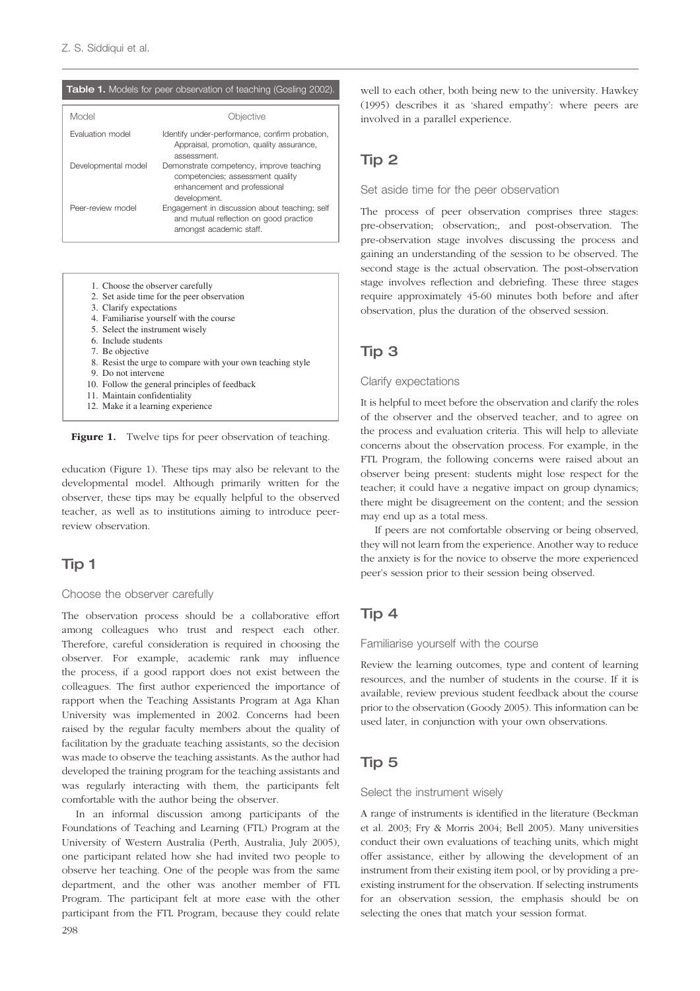| <b>Table 1.</b> Models for peer observation of teaching (Gosling 2002). |                                                                                                                              |
|-------------------------------------------------------------------------|------------------------------------------------------------------------------------------------------------------------------|
| Model                                                                   | Objective                                                                                                                    |
| Evaluation model                                                        | Identify under-performance, confirm probation,<br>Appraisal, promotion, quality assurance,<br>assessment.                    |
| Developmental model                                                     | Demonstrate competency, improve teaching<br>competencies; assessment quality<br>enhancement and professional<br>development. |
| Peer-review model                                                       | Engagement in discussion about teaching; self<br>and mutual reflection on good practice<br>amongst academic staff.           |

- 1. Choose the observer carefully
- 2. Set aside time for the peer observation
- 3. Clarify expectations
- 4. Familiarise yourself with the course
- 5. Select the instrument wisely
- 6. Include students
- 7. Be objective
- 8. Resist the urge to compare with your own teaching style
- 9. Do not intervene
- 10. Follow the general principles of feedback
- 11. Maintain confidentiality
- 12. Make it a learning experience

Figure 1. Twelve tips for peer observation of teaching.

education (Figure 1). These tips may also be relevant to the developmental model. Although primarily written for the observer, these tips may be equally helpful to the observed teacher, as well as to institutions aiming to introduce peerreview observation.

### Tip 1

#### Choose the observer carefully

The observation process should be a collaborative effort among colleagues who trust and respect each other. Therefore, careful consideration is required in choosing the observer. For example, academic rank may influence the process, if a good rapport does not exist between the colleagues. The first author experienced the importance of rapport when the Teaching Assistants Program at Aga Khan University was implemented in 2002. Concerns had been raised by the regular faculty members about the quality of facilitation by the graduate teaching assistants, so the decision was made to observe the teaching assistants. As the author had developed the training program for the teaching assistants and was regularly interacting with them, the participants felt comfortable with the author being the observer.

In an informal discussion among participants of the Foundations of Teaching and Learning (FTL) Program at the University of Western Australia (Perth, Australia, July 2005), one participant related how she had invited two people to observe her teaching. One of the people was from the same department, and the other was another member of FTL Program. The participant felt at more ease with the other participant from the FTL Program, because they could relate 298

well to each other, both being new to the university. Hawkey (1995) describes it as 'shared empathy': where peers are involved in a parallel experience.

### Tip 2

#### Set aside time for the peer observation

The process of peer observation comprises three stages: pre-observation; observation;, and post-observation. The pre-observation stage involves discussing the process and gaining an understanding of the session to be observed. The second stage is the actual observation. The post-observation stage involves reflection and debriefing. These three stages require approximately 45-60 minutes both before and after observation, plus the duration of the observed session.

### Tip 3

#### Clarify expectations

It is helpful to meet before the observation and clarify the roles of the observer and the observed teacher, and to agree on the process and evaluation criteria. This will help to alleviate concerns about the observation process. For example, in the FTL Program, the following concerns were raised about an observer being present: students might lose respect for the teacher; it could have a negative impact on group dynamics; there might be disagreement on the content; and the session may end up as a total mess.

If peers are not comfortable observing or being observed, they will not learn from the experience. Another way to reduce the anxiety is for the novice to observe the more experienced peer's session prior to their session being observed.

### Tip 4

#### Familiarise yourself with the course

Review the learning outcomes, type and content of learning resources, and the number of students in the course. If it is available, review previous student feedback about the course prior to the observation (Goody 2005). This information can be used later, in conjunction with your own observations.

### Tip 5

#### Select the instrument wisely

A range of instruments is identified in the literature (Beckman et al. 2003; Fry & Morris 2004; Bell 2005). Many universities conduct their own evaluations of teaching units, which might offer assistance, either by allowing the development of an instrument from their existing item pool, or by providing a preexisting instrument for the observation. If selecting instruments for an observation session, the emphasis should be on selecting the ones that match your session format.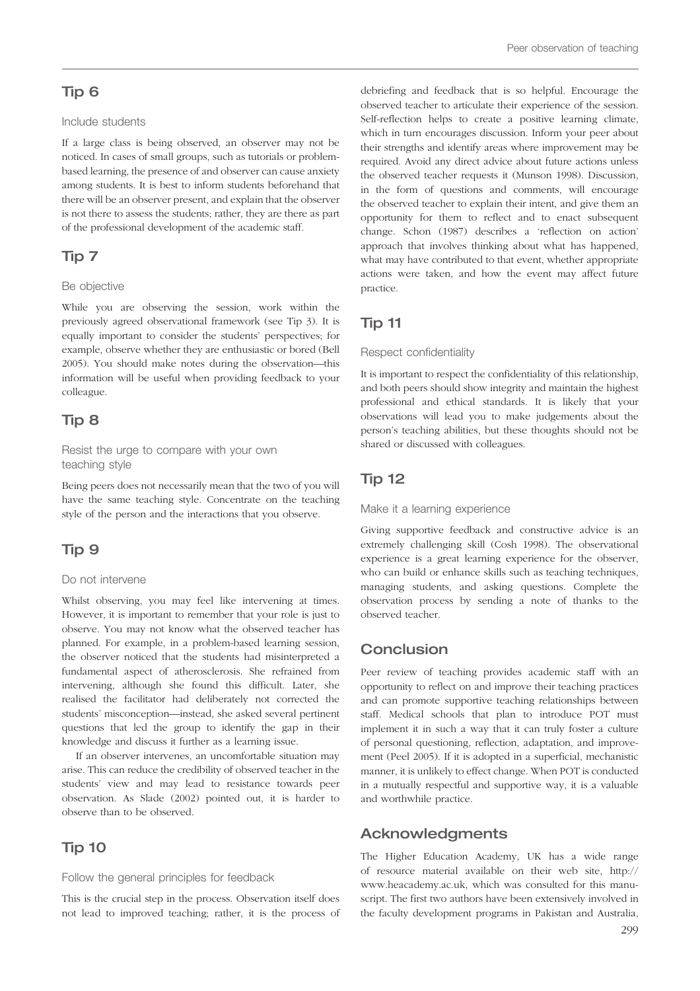### Tip 6

#### Include students

If a large class is being observed, an observer may not be noticed. In cases of small groups, such as tutorials or problembased learning, the presence of and observer can cause anxiety among students. It is best to inform students beforehand that there will be an observer present, and explain that the observer is not there to assess the students; rather, they are there as part of the professional development of the academic staff.

### Tip 7

#### Be objective

While you are observing the session, work within the previously agreed observational framework (see Tip 3). It is equally important to consider the students' perspectives; for example, observe whether they are enthusiastic or bored (Bell 2005). You should make notes during the observation—this information will be useful when providing feedback to your colleague.

# Tip 8

Resist the urge to compare with your own teaching style

Being peers does not necessarily mean that the two of you will have the same teaching style. Concentrate on the teaching style of the person and the interactions that you observe.

# Tip 9

#### Do not intervene

Whilst observing, you may feel like intervening at times. However, it is important to remember that your role is just to observe. You may not know what the observed teacher has planned. For example, in a problem-based learning session, the observer noticed that the students had misinterpreted a fundamental aspect of atherosclerosis. She refrained from intervening, although she found this difficult. Later, she realised the facilitator had deliberately not corrected the students' misconception—instead, she asked several pertinent questions that led the group to identify the gap in their knowledge and discuss it further as a learning issue.

If an observer intervenes, an uncomfortable situation may arise. This can reduce the credibility of observed teacher in the students' view and may lead to resistance towards peer observation. As Slade (2002) pointed out, it is harder to observe than to be observed.

# Tip 10

Follow the general principles for feedback

This is the crucial step in the process. Observation itself does not lead to improved teaching; rather, it is the process of debriefing and feedback that is so helpful. Encourage the observed teacher to articulate their experience of the session. Self-reflection helps to create a positive learning climate, which in turn encourages discussion. Inform your peer about their strengths and identify areas where improvement may be required. Avoid any direct advice about future actions unless the observed teacher requests it (Munson 1998). Discussion, in the form of questions and comments, will encourage the observed teacher to explain their intent, and give them an opportunity for them to reflect and to enact subsequent change. Schon (1987) describes a 'reflection on action' approach that involves thinking about what has happened, what may have contributed to that event, whether appropriate actions were taken, and how the event may affect future practice.

# Tip 11

#### Respect confidentiality

It is important to respect the confidentiality of this relationship, and both peers should show integrity and maintain the highest professional and ethical standards. It is likely that your observations will lead you to make judgements about the person's teaching abilities, but these thoughts should not be shared or discussed with colleagues.

# Tip 12

#### Make it a learning experience

Giving supportive feedback and constructive advice is an extremely challenging skill (Cosh 1998). The observational experience is a great learning experience for the observer, who can build or enhance skills such as teaching techniques, managing students, and asking questions. Complete the observation process by sending a note of thanks to the observed teacher.

# **Conclusion**

Peer review of teaching provides academic staff with an opportunity to reflect on and improve their teaching practices and can promote supportive teaching relationships between staff. Medical schools that plan to introduce POT must implement it in such a way that it can truly foster a culture of personal questioning, reflection, adaptation, and improvement (Peel 2005). If it is adopted in a superficial, mechanistic manner, it is unlikely to effect change. When POT is conducted in a mutually respectful and supportive way, it is a valuable and worthwhile practice.

# Acknowledgments

The Higher Education Academy, UK has a wide range of resource material available on their web site, http:// www.heacademy.ac.uk, which was consulted for this manuscript. The first two authors have been extensively involved in the faculty development programs in Pakistan and Australia,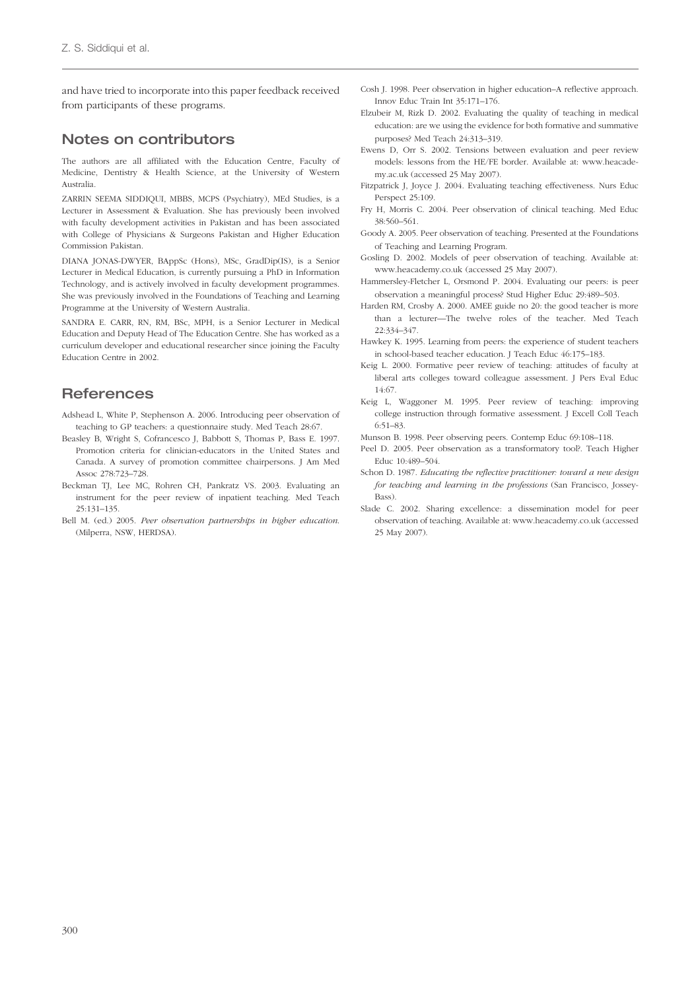and have tried to incorporate into this paper feedback received from participants of these programs.

### Notes on contributors

The authors are all affiliated with the Education Centre, Faculty of Medicine, Dentistry & Health Science, at the University of Western Australia.

ZARRIN SEEMA SIDDIQUI, MBBS, MCPS (Psychiatry), MEd Studies, is a Lecturer in Assessment & Evaluation. She has previously been involved with faculty development activities in Pakistan and has been associated with College of Physicians & Surgeons Pakistan and Higher Education Commission Pakistan.

DIANA JONAS-DWYER, BAppSc (Hons), MSc, GradDip(IS), is a Senior Lecturer in Medical Education, is currently pursuing a PhD in Information Technology, and is actively involved in faculty development programmes. She was previously involved in the Foundations of Teaching and Learning Programme at the University of Western Australia.

SANDRA E. CARR, RN, RM, BSc, MPH, is a Senior Lecturer in Medical Education and Deputy Head of The Education Centre. She has worked as a curriculum developer and educational researcher since joining the Faculty Education Centre in 2002.

### **References**

- Adshead L, White P, Stephenson A. 2006. Introducing peer observation of teaching to GP teachers: a questionnaire study. Med Teach 28:67.
- Beasley B, Wright S, Cofrancesco J, Babbott S, Thomas P, Bass E. 1997. Promotion criteria for clinician-educators in the United States and Canada. A survey of promotion committee chairpersons. J Am Med Assoc 278:723–728.
- Beckman TJ, Lee MC, Rohren CH, Pankratz VS. 2003. Evaluating an instrument for the peer review of inpatient teaching. Med Teach 25:131–135.
- Bell M. (ed.) 2005. Peer observation partnerships in higher education. (Milperra, NSW, HERDSA).
- Cosh J. 1998. Peer observation in higher education–A reflective approach. Innov Educ Train Int 35:171–176.
- Elzubeir M, Rizk D. 2002. Evaluating the quality of teaching in medical education: are we using the evidence for both formative and summative purposes? Med Teach 24:313–319.
- Ewens D, Orr S. 2002. Tensions between evaluation and peer review models: lessons from the HE/FE border. Available at: www.heacademy.ac.uk (accessed 25 May 2007).
- Fitzpatrick J, Joyce J. 2004. Evaluating teaching effectiveness. Nurs Educ Perspect 25:109.
- Fry H, Morris C. 2004. Peer observation of clinical teaching. Med Educ 38:560–561.
- Goody A. 2005. Peer observation of teaching. Presented at the Foundations of Teaching and Learning Program.
- Gosling D. 2002. Models of peer observation of teaching. Available at: www.heacademy.co.uk (accessed 25 May 2007).
- Hammersley-Fletcher L, Orsmond P. 2004. Evaluating our peers: is peer observation a meaningful process? Stud Higher Educ 29:489–503.
- Harden RM, Crosby A. 2000. AMEE guide no 20: the good teacher is more than a lecturer—The twelve roles of the teacher. Med Teach 22:334–347.
- Hawkey K. 1995. Learning from peers: the experience of student teachers in school-based teacher education. J Teach Educ 46:175–183.
- Keig L. 2000. Formative peer review of teaching: attitudes of faculty at liberal arts colleges toward colleague assessment. J Pers Eval Educ 14:67.
- Keig L, Waggoner M. 1995. Peer review of teaching: improving college instruction through formative assessment. J Excell Coll Teach 6:51–83.
- Munson B. 1998. Peer observing peers. Contemp Educ 69:108–118.
- Peel D. 2005. Peer observation as a transformatory tool?. Teach Higher Educ 10:489–504.
- Schon D. 1987. Educating the reflective practitioner: toward a new design for teaching and learning in the professions (San Francisco, Jossey-Bass).
- Slade C. 2002. Sharing excellence: a dissemination model for peer observation of teaching. Available at: www.heacademy.co.uk (accessed 25 May 2007).